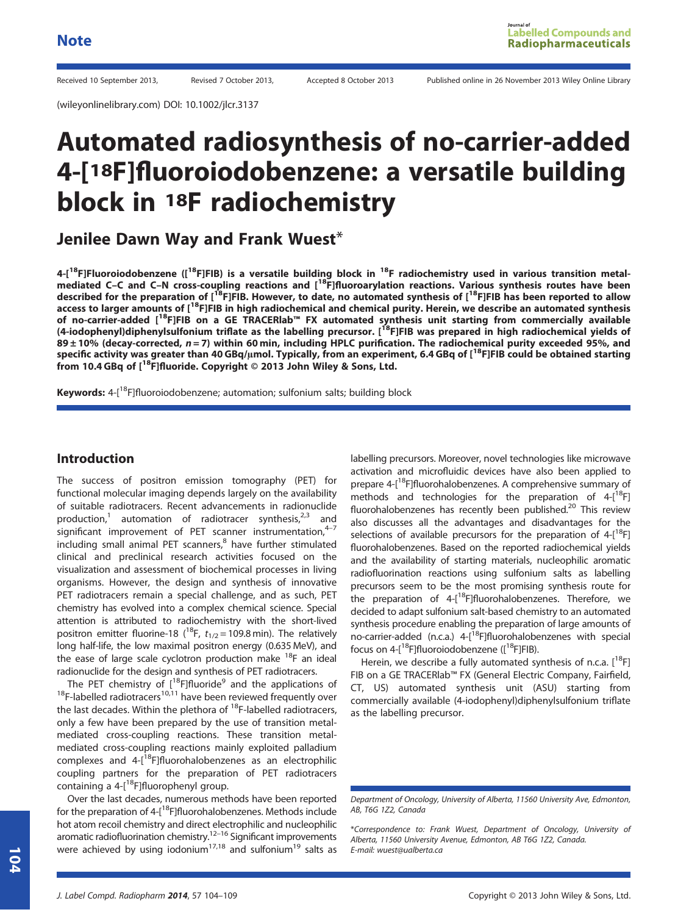Received 10 September 2013, Revised 7 October 2013, Accepted 8 October 2013 Published online in 26 November 2013 Wiley Online Library

(wileyonlinelibrary.com) DOI: 10.1002/jlcr.3137

# Automated radiosynthesis of no-carrier-added 4-[18F]fluoroiodobenzene: a versatile building block in 18F radiochemistry

Jenilee Dawn Way and Frank Wuest\*

4-[<sup>18</sup>F]Fluoroiodobenzene ([<sup>18</sup>F]FIB) is a versatile building block in <sup>18</sup>F radiochemistry used in various transition metalmediated C–C and C–N cross-coupling reactions and [<sup>18</sup>F]fluoroarylation reactions. Various synthesis routes have been described for the preparation of [<sup>18</sup>F]FIB. However, to date, no automated synthesis of [<sup>18</sup>F]FIB has been reported to allow access to larger amounts of [<sup>18</sup>F]FIB in high radiochemical and chemical purity. Herein, we describe an automated synthesis of no-carrier-added [18F]FIB on a GE TRACERlab™ FX automated synthesis unit starting from commercially available (4-iodophenyl)diphenylsulfonium triflate as the labelling precursor. [<sup>18</sup>F]FIB was prepared in high radiochemical yields of  $89 \pm 10$ % (decay-corrected,  $n = 7$ ) within 60 min, including HPLC purification. The radiochemical purity exceeded 95%, and specific activity was greater than 40 GBq/µmol. Typically, from an experiment, 6.4 GBq of  $[1^8F]FIB$  could be obtained starting from 10.4 GBq of [<sup>18</sup>F]fluoride. Copyright © 2013 John Wiley & Sons, Ltd.

Keywords: 4-[<sup>18</sup>F]fluoroiodobenzene; automation; sulfonium salts; building block

# Introduction

The success of positron emission tomography (PET) for functional molecular imaging depends largely on the availability of suitable radiotracers. Recent advancements in radionuclide production,<sup>1</sup> automation of radiotracer synthesis,<sup>2,3</sup> and significant improvement of PET scanner instrumentation, $4-7$ including small animal PET scanners,<sup>8</sup> have further stimulated clinical and preclinical research activities focused on the visualization and assessment of biochemical processes in living organisms. However, the design and synthesis of innovative PET radiotracers remain a special challenge, and as such, PET chemistry has evolved into a complex chemical science. Special attention is attributed to radiochemistry with the short-lived positron emitter fluorine-18 ( $^{18}$ F,  $t_{1/2}$  = 109.8 min). The relatively long half-life, the low maximal positron energy (0.635 MeV), and the ease of large scale cyclotron production make  $^{18}$ F an ideal radionuclide for the design and synthesis of PET radiotracers.<br>The PET chemistry of  $[^{18}F]$ fluoride<sup>9</sup> and the applications of

 $18$ F-labelled radiotracers $10,11$  have been reviewed frequently over the last decades. Within the plethora of  $^{18}$ F-labelled radiotracers, only a few have been prepared by the use of transition metalmediated cross-coupling reactions. These transition metalmediated cross-coupling reactions mainly exploited palladium complexes and 4-[<sup>18</sup>F]fluorohalobenzenes as an electrophilic coupling partners for the preparation of PET radiotracers containing a  $4-[^{18}F]$ fluorophenyl group.

Over the last decades, numerous methods have been reported for the preparation of 4-[<sup>18</sup>F]fluorohalobenzenes. Methods include hot atom recoil chemistry and direct electrophilic and nucleophilic aromatic radiofluorination chemistry.<sup>12–16</sup> Significant improvements were achieved by using iodonium $^{17,18}$  and sulfonium $^{19}$  salts as

labelling precursors. Moreover, novel technologies like microwave activation and microfluidic devices have also been applied to prepare 4-[<sup>18</sup>F]fluorohalobenzenes. A comprehensive summary of methods and technologies for the preparation of  $4-[18]$ fluorohalobenzenes has recently been published.<sup>20</sup> This review also discusses all the advantages and disadvantages for the selections of available precursors for the preparation of  $4-[18F]$ fluorohalobenzenes. Based on the reported radiochemical yields and the availability of starting materials, nucleophilic aromatic radiofluorination reactions using sulfonium salts as labelling precursors seem to be the most promising synthesis route for the preparation of  $4-[18F]$ fluorohalobenzenes. Therefore, we decided to adapt sulfonium salt-based chemistry to an automated synthesis procedure enabling the preparation of large amounts of no-carrier-added (n.c.a.)  $4-[18F]$ fluorohalobenzenes with special focus on  $4-[18]$ fluoroiodobenzene ( $[18]$ FIB).

Herein, we describe a fully automated synthesis of n.c.a.  $[^{18}F]$ FIB on a GE TRACERlab™ FX (General Electric Company, Fairfield, CT, US) automated synthesis unit (ASU) starting from commercially available (4-iodophenyl)diphenylsulfonium triflate as the labelling precursor.

\*Correspondence to: Frank Wuest, Department of Oncology, University of Alberta, 11560 University Avenue, Edmonton, AB T6G 1Z2, Canada. E-mail: wuest@ualberta.ca

Department of Oncology, University of Alberta, 11560 University Ave, Edmonton, AB, T6G 1Z2, Canada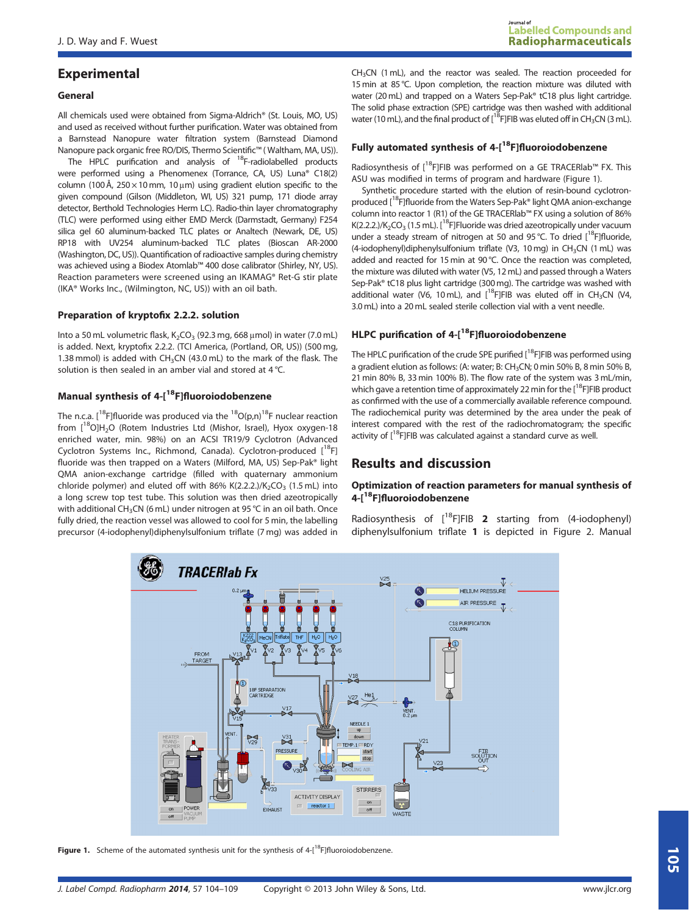# Experimental

#### General

All chemicals used were obtained from Sigma-Aldrich® (St. Louis, MO, US) and used as received without further purification. Water was obtained from a Barnstead Nanopure water filtration system (Barnstead Diamond Nanopure pack organic free RO/DIS, Thermo Scientific™ ( Waltham, MA, US)).

The HPLC purification and analysis of  $^{18}$ F-radiolabelled products were performed using a Phenomenex (Torrance, CA, US) Luna® C18(2) column (100 Å,  $250 \times 10$  mm, 10  $\mu$ m) using gradient elution specific to the given compound (Gilson (Middleton, WI, US) 321 pump, 171 diode array detector, Berthold Technologies Herm LC). Radio-thin layer chromatography (TLC) were performed using either EMD Merck (Darmstadt, Germany) F254 silica gel 60 aluminum-backed TLC plates or Analtech (Newark, DE, US) RP18 with UV254 aluminum-backed TLC plates (Bioscan AR-2000 (Washington, DC, US)). Quantification of radioactive samples during chemistry was achieved using a Biodex Atomlab™ 400 dose calibrator (Shirley, NY, US). Reaction parameters were screened using an IKAMAG® Ret-G stir plate (IKA® Works Inc., (Wilmington, NC, US)) with an oil bath.

#### Preparation of kryptofix 2.2.2. solution

Into a 50 mL volumetric flask,  $K_2CO_3$  (92.3 mg, 668  $\mu$ mol) in water (7.0 mL) is added. Next, kryptofix 2.2.2. (TCI America, (Portland, OR, US)) (500 mg, 1.38 mmol) is added with  $CH<sub>3</sub>CN$  (43.0 mL) to the mark of the flask. The solution is then sealed in an amber vial and stored at 4 °C.

# Manual synthesis of 4-[<sup>18</sup>F]fluoroiodobenzene

The n.c.a. [<sup>18</sup>F]fluoride was produced via the  $^{18}O(p,n)^{18}F$  nuclear reaction from  $[^{18}O]H_2O$  (Rotem Industries Ltd (Mishor, Israel), Hyox oxygen-18 enriched water, min. 98%) on an ACSI TR19/9 Cyclotron (Advanced Cyclotron Systems Inc., Richmond, Canada). Cyclotron-produced [<sup>18</sup>F] fluoride was then trapped on a Waters (Milford, MA, US) Sep-Pak® light QMA anion-exchange cartridge (filled with quaternary ammonium chloride polymer) and eluted off with 86% K(2.2.2.)/K<sub>2</sub>CO<sub>3</sub> (1.5 mL) into a long screw top test tube. This solution was then dried azeotropically with additional CH<sub>3</sub>CN (6 mL) under nitrogen at 95 °C in an oil bath. Once fully dried, the reaction vessel was allowed to cool for 5 min, the labelling precursor (4-iodophenyl)diphenylsulfonium triflate (7 mg) was added in CH3CN (1 mL), and the reactor was sealed. The reaction proceeded for 15 min at 85 °C. Upon completion, the reaction mixture was diluted with water (20 mL) and trapped on a Waters Sep-Pak® tC18 plus light cartridge. The solid phase extraction (SPE) cartridge was then washed with additional water (10 mL), and the final product of  $1^{18}$ FJFIB was eluted off in CH<sub>3</sub>CN (3 mL).

## Fully automated synthesis of  $4-[{}^{18}F]$ fluoroiodobenzene

Radiosynthesis of  $\left[1^8F\right]FIB$  was performed on a GE TRACERIab<sup>™</sup> FX. This ASU was modified in terms of program and hardware (Figure 1).

Synthetic procedure started with the elution of resin-bound cyclotronproduced [<sup>18</sup>F]fluoride from the Waters Sep-Pak® light QMA anion-exchange column into reactor 1 (R1) of the GE TRACERlab™ FX using a solution of 86% K(2.2.2.)/K<sub>2</sub>CO<sub>3</sub> (1.5 mL). [<sup>18</sup>F]Fluoride was dried azeotropically under vacuum under a steady stream of nitrogen at 50 and 95 °C. To dried  $[^{18}F]$ fluoride, (4-iodophenyl)diphenylsulfonium triflate (V3, 10 mg) in CH<sub>3</sub>CN (1 mL) was added and reacted for 15 min at 90 °C. Once the reaction was completed, the mixture was diluted with water (V5, 12 mL) and passed through a Waters Sep-Pak® tC18 plus light cartridge (300 mg). The cartridge was washed with additional water (V6, 10 mL), and  $[^{18}$ FJFIB was eluted off in CH<sub>3</sub>CN (V4, 3.0 mL) into a 20 mL sealed sterile collection vial with a vent needle.

#### HLPC purification of 4-[<sup>18</sup>F]fluoroiodobenzene

The HPLC purification of the crude SPE purified  $[$ <sup>18</sup>FJFIB was performed using a gradient elution as follows: (A: water; B: CH3CN; 0 min 50% B, 8 min 50% B, 21 min 80% B, 33 min 100% B). The flow rate of the system was 3 mL/min, which gave a retention time of approximately 22 min for the [<sup>18</sup>F]FIB product as confirmed with the use of a commercially available reference compound. The radiochemical purity was determined by the area under the peak of interest compared with the rest of the radiochromatogram; the specific activity of  $[18F]$ FIB was calculated against a standard curve as well.

# Results and discussion

#### Optimization of reaction parameters for manual synthesis of 4-[18F]fluoroiodobenzene

Radiosynthesis of  $[18F]FIB$  2 starting from (4-iodophenyl) diphenylsulfonium triflate 1 is depicted in Figure 2. Manual



Figure 1. Scheme of the automated synthesis unit for the synthesis of  $4-[^{18}F]$ fluoroiodobenzene.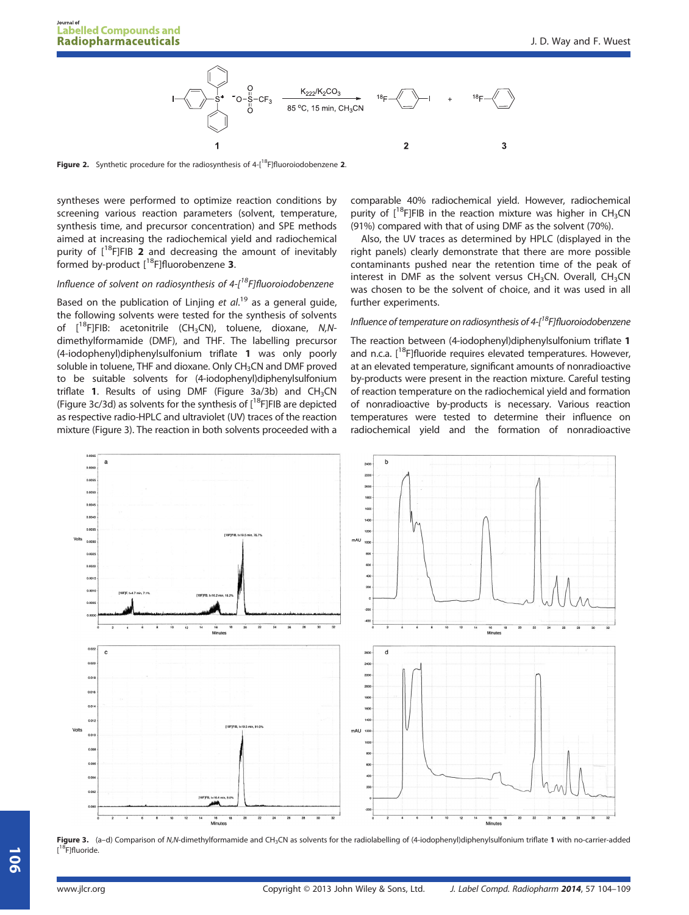

Figure 2. Synthetic procedure for the radiosynthesis of  $4-[18]$ fluoroiodobenzene 2.

syntheses were performed to optimize reaction conditions by screening various reaction parameters (solvent, temperature, synthesis time, and precursor concentration) and SPE methods aimed at increasing the radiochemical yield and radiochemical purity of  $[$ <sup>18</sup>F]FIB 2 and decreasing the amount of inevitably formed by-product  $[^{18}F]$ fluorobenzene 3.

## Influence of solvent on radiosynthesis of  $4$ - $1^18$ Flfluoroiodobenzene

Based on the publication of Linjing et al.<sup>19</sup> as a general guide, the following solvents were tested for the synthesis of solvents of  $[^{18}F]FIB:$  acetonitrile (CH<sub>3</sub>CN), toluene, dioxane, N,Ndimethylformamide (DMF), and THF. The labelling precursor (4-iodophenyl)diphenylsulfonium triflate 1 was only poorly soluble in toluene, THF and dioxane. Only CH<sub>3</sub>CN and DMF proved to be suitable solvents for (4-iodophenyl)diphenylsulfonium triflate 1. Results of using DMF (Figure 3a/3b) and  $CH<sub>3</sub>CN$ (Figure 3c/3d) as solvents for the synthesis of  $[18F]FIB$  are depicted as respective radio-HPLC and ultraviolet (UV) traces of the reaction mixture (Figure 3). The reaction in both solvents proceeded with a comparable 40% radiochemical yield. However, radiochemical purity of  $[18F]FIB$  in the reaction mixture was higher in CH<sub>3</sub>CN (91%) compared with that of using DMF as the solvent (70%).

Also, the UV traces as determined by HPLC (displayed in the right panels) clearly demonstrate that there are more possible contaminants pushed near the retention time of the peak of interest in DMF as the solvent versus  $CH<sub>3</sub>CN$ . Overall,  $CH<sub>3</sub>CN$ was chosen to be the solvent of choice, and it was used in all further experiments.

## Influence of temperature on radiosynthesis of  $4-[$ <sup>18</sup>F]fluoroiodobenzene

The reaction between (4-iodophenyl)diphenylsulfonium triflate 1 and n.c.a.  $[$ <sup>18</sup>F]fluoride requires elevated temperatures. However, at an elevated temperature, significant amounts of nonradioactive by-products were present in the reaction mixture. Careful testing of reaction temperature on the radiochemical yield and formation of nonradioactive by-products is necessary. Various reaction temperatures were tested to determine their influence on radiochemical yield and the formation of nonradioactive



Figure 3. (a-d) Comparison of N,N-dimethylformamide and CH<sub>3</sub>CN as solvents for the radiolabelling of (4-iodophenyl)diphenylsulfonium triflate 1 with no-carrier-added <sup>8</sup>F]fluoride.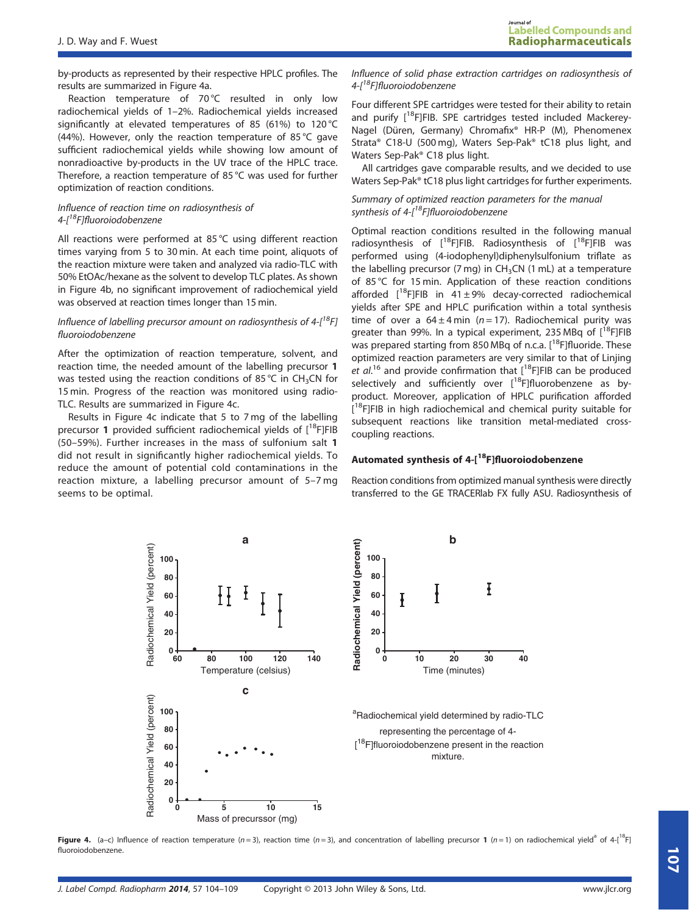by-products as represented by their respective HPLC profiles. The results are summarized in Figure 4a.

Reaction temperature of 70°C resulted in only low radiochemical yields of 1–2%. Radiochemical yields increased significantly at elevated temperatures of 85 (61%) to 120 °C (44%). However, only the reaction temperature of 85 °C gave sufficient radiochemical yields while showing low amount of nonradioactive by-products in the UV trace of the HPLC trace. Therefore, a reaction temperature of 85 °C was used for further optimization of reaction conditions.

#### Influence of reaction time on radiosynthesis of 4-[<sup>18</sup>F]fluoroiodobenzene

All reactions were performed at 85 °C using different reaction times varying from 5 to 30 min. At each time point, aliquots of the reaction mixture were taken and analyzed via radio-TLC with 50% EtOAc/hexane as the solvent to develop TLC plates. As shown in Figure 4b, no significant improvement of radiochemical yield was observed at reaction times longer than 15 min.

#### Influence of labelling precursor amount on radiosynthesis of  $4-[^{18}F]$ fluoroiodobenzene

After the optimization of reaction temperature, solvent, and reaction time, the needed amount of the labelling precursor 1 was tested using the reaction conditions of 85 °C in CH<sub>3</sub>CN for 15 min. Progress of the reaction was monitored using radio-TLC. Results are summarized in Figure 4c.

Results in Figure 4c indicate that 5 to 7 mg of the labelling precursor 1 provided sufficient radiochemical yields of  $[^{18}F]FIB$ (50–59%). Further increases in the mass of sulfonium salt 1 did not result in significantly higher radiochemical yields. To reduce the amount of potential cold contaminations in the reaction mixture, a labelling precursor amount of 5–7 mg seems to be optimal.

Influence of solid phase extraction cartridges on radiosynthesis of 4- $I<sup>18</sup>F$ Ifluoroiodobenzene

Four different SPE cartridges were tested for their ability to retain and purify  $[$ <sup>18</sup>F]FIB. SPE cartridges tested included Mackerey-Nagel (Düren, Germany) Chromafix® HR-P (M), Phenomenex Strata® C18-U (500 mg), Waters Sep-Pak® tC18 plus light, and Waters Sep-Pak® C18 plus light.

All cartridges gave comparable results, and we decided to use Waters Sep-Pak® tC18 plus light cartridges for further experiments.

#### Summary of optimized reaction parameters for the manual synthesis of  $4-[$ <sup>18</sup>F]fluoroiodobenzene

Optimal reaction conditions resulted in the following manual radiosynthesis of [18F]FIB. Radiosynthesis of [18F]FIB was performed using (4-iodophenyl)diphenylsulfonium triflate as the labelling precursor (7 mg) in  $CH<sub>3</sub>CN$  (1 mL) at a temperature of 85 °C for 15 min. Application of these reaction conditions afforded  $[$ <sup>18</sup>F]FIB in 41 ± 9% decay-corrected radiochemical yields after SPE and HPLC purification within a total synthesis time of over a  $64 \pm 4$  min (n = 17). Radiochemical purity was greater than 99%. In a typical experiment, 235 MBq of  $[^{18}F]FIB$ was prepared starting from 850 MBq of n.c.a.  $[^{18}F]$ fluoride. These optimized reaction parameters are very similar to that of Linjing et  $al^{16}$  and provide confirmation that  $\left[{}^{18}F\right]F$ IB can be produced selectively and sufficiently over  $[^{18}F]$ fluorobenzene as byproduct. Moreover, application of HPLC purification afforded [<sup>18</sup>F]FIB in high radiochemical and chemical purity suitable for subsequent reactions like transition metal-mediated crosscoupling reactions.

#### Automated synthesis of 4-[18F]fluoroiodobenzene

Reaction conditions from optimized manual synthesis were directly transferred to the GE TRACERlab FX fully ASU. Radiosynthesis of



Figure 4. (a–c) Influence of reaction temperature (n = 3), reaction time (n = 3), and concentration of labelling precursor 1 (n = 1) on radiochemical yield<sup>a</sup> of 4-[<sup>18</sup>F] fluoroiodobenzene.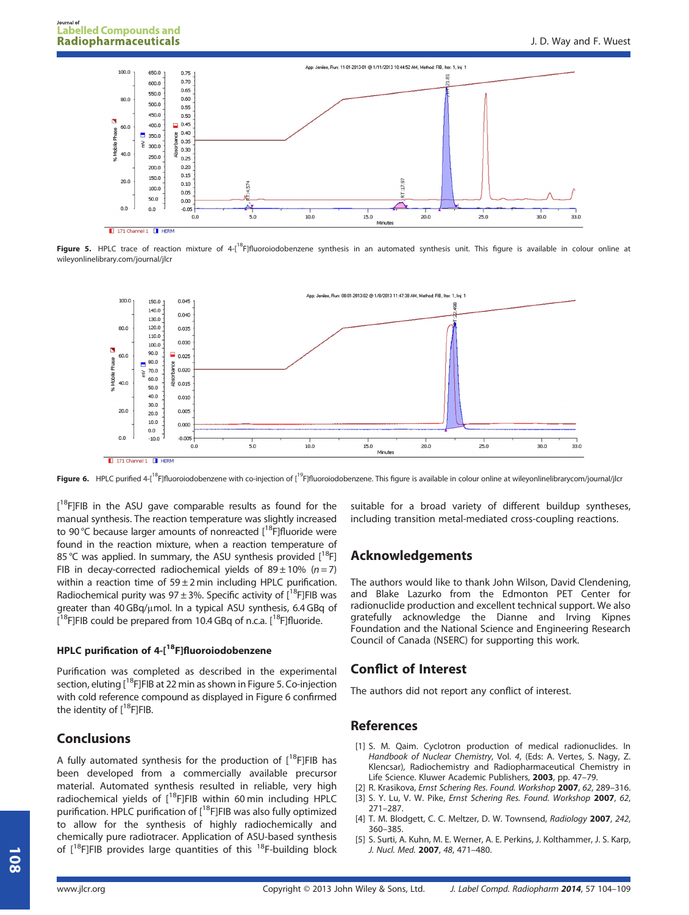

Figure 5. HPLC trace of reaction mixture of 4-[<sup>18</sup>F]fluoroiodobenzene synthesis in an automated synthesis unit. This figure is available in colour online at wileyonlinelibrary.com/journal/jlcr



Figure 6. HPLC purified 4-[<sup>18</sup>F]fluoroiodobenzene with co-injection of [<sup>19</sup>F]fluoroiodobenzene. This figure is available in colour online at wileyonlinelibrarycom/journal/jlcr

[<sup>18</sup>F]FIB in the ASU gave comparable results as found for the manual synthesis. The reaction temperature was slightly increased to 90 °C because larger amounts of nonreacted  $\left[^{18}F\right]$ fluoride were found in the reaction mixture, when a reaction temperature of 85 °C was applied. In summary, the ASU synthesis provided  $[^{18}F]$ FIB in decay-corrected radiochemical yields of  $89 \pm 10\%$  (n = 7) within a reaction time of  $59 \pm 2$  min including HPLC purification. Radiochemical purity was  $97 \pm 3$ %. Specific activity of  $[18$ F]FIB was greater than 40 GBq/μmol. In a typical ASU synthesis, 6.4 GBq of  $\left[ \text{^{18}F}\right]$ FIB could be prepared from 10.4 GBq of n.c.a.  $\left[ \text{^{18}F}\right]$ fluoride.

# HPLC purification of 4-[<sup>18</sup>F]fluoroiodobenzene

Purification was completed as described in the experimental section, eluting  $\left[1^8F\right]FIB$  at 22 min as shown in Figure 5. Co-injection with cold reference compound as displayed in Figure 6 confirmed the identity of  $[18$ F]FIB.

# Conclusions

A fully automated synthesis for the production of  $[^{18}F]FIB$  has been developed from a commercially available precursor material. Automated synthesis resulted in reliable, very high radiochemical yields of  $[$ <sup>18</sup>F]FIB within 60 min including HPLC purification. HPLC purification of [<sup>18</sup>F]FIB was also fully optimized to allow for the synthesis of highly radiochemically and chemically pure radiotracer. Application of ASU-based synthesis of  $[18F]$ FIB provides large quantities of this  $18F$ -building block

suitable for a broad variety of different buildup syntheses, including transition metal-mediated cross-coupling reactions.

# Acknowledgements

The authors would like to thank John Wilson, David Clendening, and Blake Lazurko from the Edmonton PET Center for radionuclide production and excellent technical support. We also gratefully acknowledge the Dianne and Irving Kipnes Foundation and the National Science and Engineering Research Council of Canada (NSERC) for supporting this work.

# Conflict of Interest

The authors did not report any conflict of interest.

## References

- [1] S. M. Qaim. Cyclotron production of medical radionuclides. In Handbook of Nuclear Chemistry, Vol. 4, (Eds: A. Vertes, S. Nagy, Z. Klencsar), Radiochemistry and Radiopharmaceutical Chemistry in Life Science. Kluwer Academic Publishers, 2003, pp. 47–79.
- [2] R. Krasikova, Ernst Schering Res. Found. Workshop 2007, 62, 289-316.
- [3] S. Y. Lu, V. W. Pike, Ernst Schering Res. Found. Workshop 2007, 62, 271–287.
- [4] T. M. Blodgett, C. C. Meltzer, D. W. Townsend, Radiology 2007, 242, 360–385.
- [5] S. Surti, A. Kuhn, M. E. Werner, A. E. Perkins, J. Kolthammer, J. S. Karp, J. Nucl. Med. 2007, 48, 471–480.